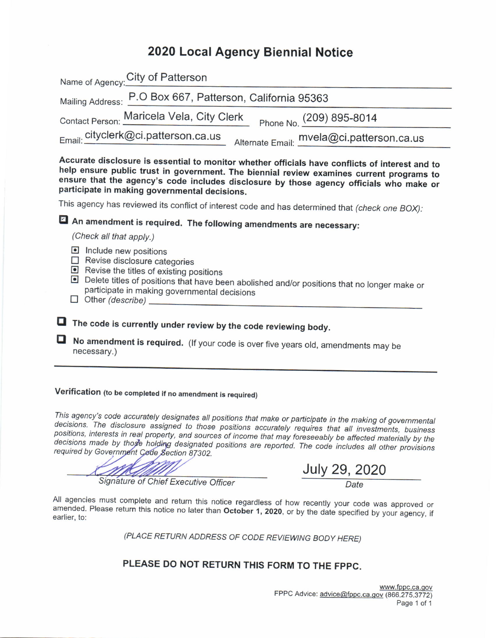# 2020 Local Agency Biennial Notice

|                                                                                  | Name of Agency: City of Patterson                                     |
|----------------------------------------------------------------------------------|-----------------------------------------------------------------------|
|                                                                                  | Mailing Address: P.O Box 667, Patterson, California 95363             |
|                                                                                  | Contact Person: Maricela Vela, City Clerk<br>Phone No. (209) 895-8014 |
| Email: cityclerk@ci.patterson.ca.us<br>Alternate Email: mvela@ci.patterson.ca.us |                                                                       |

Accurate disclosure is essential to monitor whether officials have conflicts of interest and to help ensure public trust in government. The biennial review examines current programs to ensure that the agency's code includes disclosure by those agency officials who make or participate in making governmental decisions.

This agency has reviewed its conflict of interest code and has determined that (check one BOX):

An amendment is required. The following amendments are necessary:

(Check all that apply.)

- $\blacksquare$  Include new positions
- $\Box$  Revise disclosure categories
- Revise the titles of existing positions
- Delete titles of positions that have been abolished and/or positions that no longer make or participate in making governmental decisions
- $\Box$  Other (describe)
- The code is currently under review by the code reviewing body.

No amendment is required. (If your code is over five years old, amendments may be necessary.)

## Verification (to be completed if no amendment is required)

This agency's code accurately designates all positions that make or participate in the making of governmental decisions. The disclosure assigned to those positions accurately requires that all investments, business positions, interests in real property, and sources of income that may foreseeably be affected materially by the decisions made by those holding designated positions are reported. The code includes all other provisions required by Government Code Section 87302.

July 29, 2020

Signature of Chief Executive Officer

All agencies must complete and return this notice regardless of how recently your code was approved or amended. Please return this notice no later than October 1, 2020, or by the date specified by your agency, if earlier, to:

(PLACE RETURN ADDRESS OF CODE REVIEWING BODY HERE)

### PLEASE DO NOT RETURN THIS FORM TO THE FPPC.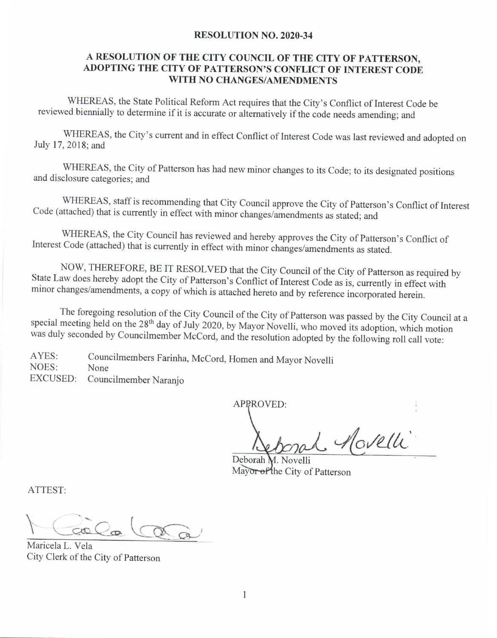#### RESOLUTION NO.2O2O-34

#### A RESOLUTION OF THE CITY COUNCIL OF THE CITY OF PATTERSON, ADOPTING THE CITY OF PATTERSON'S CONFLICT OF INTEREST CODE WITH NO CHANGES/AMENDMENTS

WHEREAS, the State Political Reform Act requires that the City's Conflict of Interest Code be reviewed biennially to determine if it is accurate or altematively if the code needs amending; and

WHEREAS, the City's current and in effect Conflict of Interest Code was last reviewed and adopted on July 17, 2018; and

WHEREAS, the City of Patterson has had new minor changes to its Code; to its designated positions and disclosure categories; and

WHEREAS, staff is recommending that City Council approve the City of Patterson's Conflict of Interest Code (attached) that is currently in effect with minor changes/amendments as stated; and

WHEREAS, the City Council has reviewed and hereby approves the City of Patterson's Conflict of Interest Code (attached) that is currently in effect with minor changes/amendments as stated.

NOW, THEREFORE, BE IT RESOLVED that the City Council of the City of Patterson as required by<br>State Law does hereby adopt the City of Patterson's Conflict of Interest Code as is, currently in effect with<br>minor changes/amend

The foregoing resolution of the City Council of the City of Patterson was passed by the City Council at a special meeting held on the 28<sup>th</sup> day of July 2020, by Mayor Novelli, who moved its adoption, which motion was duly seconded by Councilmember McCord, and the resolution adopted by the following roll call vote:

AYES: Councilmembers Farinha, McCord, Homen and Mayor Novelli NOES: None<br>EXCUSED: Councilmember Naranio Councilmember Naranjo

APPROVED:

Aovelli

Deborah M. Novelli Mayor of the City of Patterson

ATTEST:

 $\bigwedge_{\text{Maricela L. Vela}}$ 

City Clerk of the City of patrerson